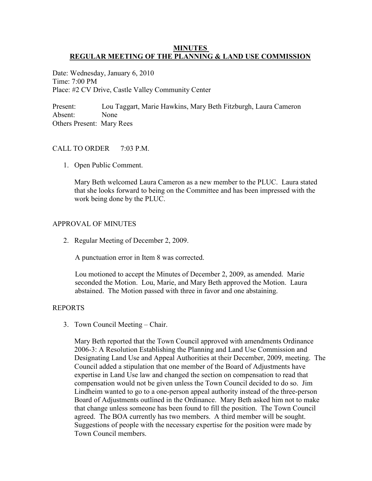## **MINUTES REGULAR MEETING OF THE PLANNING & LAND USE COMMISSION**

Date: Wednesday, January 6, 2010 Time: 7:00 PM Place: #2 CV Drive, Castle Valley Community Center

Present: Lou Taggart, Marie Hawkins, Mary Beth Fitzburgh, Laura Cameron Absent: None Others Present: Mary Rees

## CALL TO ORDER  $7.03$  PM

1. Open Public Comment.

 Mary Beth welcomed Laura Cameron as a new member to the PLUC. Laura stated that she looks forward to being on the Committee and has been impressed with the work being done by the PLUC.

#### APPROVAL OF MINUTES

2. Regular Meeting of December 2, 2009.

A punctuation error in Item 8 was corrected.

 Lou motioned to accept the Minutes of December 2, 2009, as amended. Marie seconded the Motion. Lou, Marie, and Mary Beth approved the Motion. Laura abstained. The Motion passed with three in favor and one abstaining.

#### REPORTS

3. Town Council Meeting – Chair.

 Mary Beth reported that the Town Council approved with amendments Ordinance 2006-3: A Resolution Establishing the Planning and Land Use Commission and Designating Land Use and Appeal Authorities at their December, 2009, meeting. The Council added a stipulation that one member of the Board of Adjustments have expertise in Land Use law and changed the section on compensation to read that compensation would not be given unless the Town Council decided to do so. Jim Lindheim wanted to go to a one-person appeal authority instead of the three-person Board of Adjustments outlined in the Ordinance. Mary Beth asked him not to make that change unless someone has been found to fill the position. The Town Council agreed. The BOA currently has two members. A third member will be sought. Suggestions of people with the necessary expertise for the position were made by Town Council members.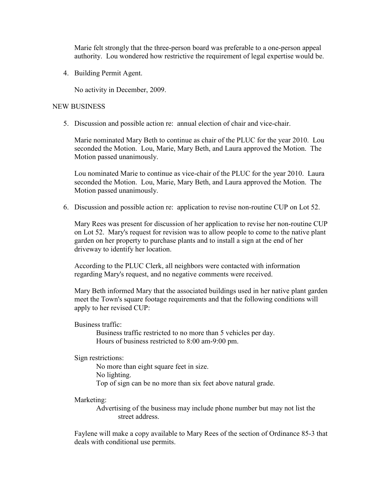Marie felt strongly that the three-person board was preferable to a one-person appeal authority. Lou wondered how restrictive the requirement of legal expertise would be.

4. Building Permit Agent.

No activity in December, 2009.

## NEW BUSINESS

5. Discussion and possible action re: annual election of chair and vice-chair.

 Marie nominated Mary Beth to continue as chair of the PLUC for the year 2010. Lou seconded the Motion. Lou, Marie, Mary Beth, and Laura approved the Motion. The Motion passed unanimously.

 Lou nominated Marie to continue as vice-chair of the PLUC for the year 2010. Laura seconded the Motion. Lou, Marie, Mary Beth, and Laura approved the Motion. The Motion passed unanimously.

6. Discussion and possible action re: application to revise non-routine CUP on Lot 52.

Mary Rees was present for discussion of her application to revise her non-routine CUP on Lot 52. Mary's request for revision was to allow people to come to the native plant garden on her property to purchase plants and to install a sign at the end of her driveway to identify her location.

According to the PLUC Clerk, all neighbors were contacted with information regarding Mary's request, and no negative comments were received.

Mary Beth informed Mary that the associated buildings used in her native plant garden meet the Town's square footage requirements and that the following conditions will apply to her revised CUP:

# Business traffic:

 Business traffic restricted to no more than 5 vehicles per day. Hours of business restricted to 8:00 am-9:00 pm.

## Sign restrictions:

 No more than eight square feet in size. No lighting. Top of sign can be no more than six feet above natural grade.

#### Marketing:

 Advertising of the business may include phone number but may not list the street address.

 Faylene will make a copy available to Mary Rees of the section of Ordinance 85-3 that deals with conditional use permits.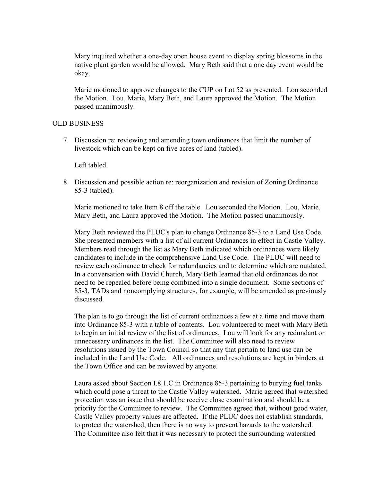Mary inquired whether a one-day open house event to display spring blossoms in the native plant garden would be allowed. Mary Beth said that a one day event would be okay.

 Marie motioned to approve changes to the CUP on Lot 52 as presented. Lou seconded the Motion. Lou, Marie, Mary Beth, and Laura approved the Motion. The Motion passed unanimously.

## OLD BUSINESS

7. Discussion re: reviewing and amending town ordinances that limit the number of livestock which can be kept on five acres of land (tabled).

Left tabled.

8. Discussion and possible action re: reorganization and revision of Zoning Ordinance 85-3 (tabled).

Marie motioned to take Item 8 off the table. Lou seconded the Motion. Lou, Marie, Mary Beth, and Laura approved the Motion. The Motion passed unanimously.

Mary Beth reviewed the PLUC's plan to change Ordinance 85-3 to a Land Use Code. She presented members with a list of all current Ordinances in effect in Castle Valley. Members read through the list as Mary Beth indicated which ordinances were likely candidates to include in the comprehensive Land Use Code. The PLUC will need to review each ordinance to check for redundancies and to determine which are outdated. In a conversation with David Church, Mary Beth learned that old ordinances do not need to be repealed before being combined into a single document. Some sections of 85-3, TADs and noncomplying structures, for example, will be amended as previously discussed.

The plan is to go through the list of current ordinances a few at a time and move them into Ordinance 85-3 with a table of contents. Lou volunteered to meet with Mary Beth to begin an initial review of the list of ordinances. Lou will look for any redundant or unnecessary ordinances in the list. The Committee will also need to review resolutions issued by the Town Council so that any that pertain to land use can be included in the Land Use Code. All ordinances and resolutions are kept in binders at the Town Office and can be reviewed by anyone.

Laura asked about Section I.8.1.C in Ordinance 85-3 pertaining to burying fuel tanks which could pose a threat to the Castle Valley watershed. Marie agreed that watershed protection was an issue that should be receive close examination and should be a priority for the Committee to review. The Committee agreed that, without good water, Castle Valley property values are affected. If the PLUC does not establish standards, to protect the watershed, then there is no way to prevent hazards to the watershed. The Committee also felt that it was necessary to protect the surrounding watershed